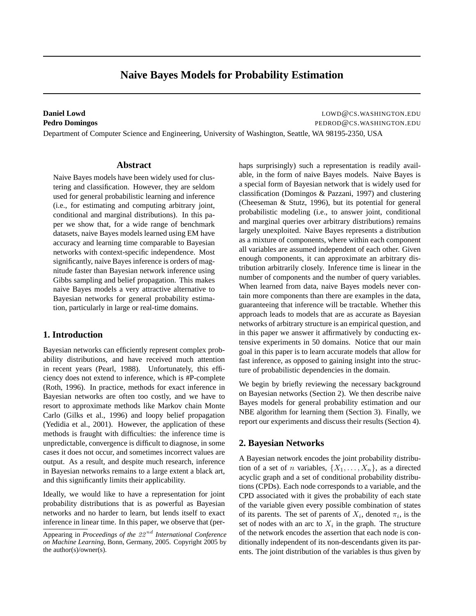# **Naive Bayes Models for Probability Estimation**

**Daniel Lowd** LOWD@CS.WASHINGTON.EDU **Pedro Domingos** PEDROD@CS.WASHINGTON.EDU

Department of Computer Science and Engineering, University of Washington, Seattle, WA 98195-2350, USA

# **Abstract**

Naive Bayes models have been widely used for clustering and classification. However, they are seldom used for general probabilistic learning and inference (i.e., for estimating and computing arbitrary joint, conditional and marginal distributions). In this paper we show that, for a wide range of benchmark datasets, naive Bayes models learned using EM have accuracy and learning time comparable to Bayesian networks with context-specific independence. Most significantly, naive Bayes inference is orders of magnitude faster than Bayesian network inference using Gibbs sampling and belief propagation. This makes naive Bayes models a very attractive alternative to Bayesian networks for general probability estimation, particularly in large or real-time domains.

# **1. Introduction**

Bayesian networks can efficiently represent complex probability distributions, and have received much attention in recent years (Pearl, 1988). Unfortunately, this efficiency does not extend to inference, which is #P-complete (Roth, 1996). In practice, methods for exact inference in Bayesian networks are often too costly, and we have to resort to approximate methods like Markov chain Monte Carlo (Gilks et al., 1996) and loopy belief propagation (Yedidia et al., 2001). However, the application of these methods is fraught with difficulties: the inference time is unpredictable, convergence is difficult to diagnose, in some cases it does not occur, and sometimes incorrect values are output. As a result, and despite much research, inference in Bayesian networks remains to a large extent a black art, and this significantly limits their applicability.

Ideally, we would like to have a representation for joint probability distributions that is as powerful as Bayesian networks and no harder to learn, but lends itself to exact inference in linear time. In this paper, we observe that (perhaps surprisingly) such a representation is readily available, in the form of naive Bayes models. Naive Bayes is a special form of Bayesian network that is widely used for classification (Domingos & Pazzani, 1997) and clustering (Cheeseman & Stutz, 1996), but its potential for general probabilistic modeling (i.e., to answer joint, conditional and marginal queries over arbitrary distributions) remains largely unexploited. Naive Bayes represents a distribution as a mixture of components, where within each component all variables are assumed independent of each other. Given enough components, it can approximate an arbitrary distribution arbitrarily closely. Inference time is linear in the number of components and the number of query variables. When learned from data, naive Bayes models never contain more components than there are examples in the data, guaranteeing that inference will be tractable. Whether this approach leads to models that are as accurate as Bayesian networks of arbitrary structure is an empirical question, and in this paper we answer it affirmatively by conducting extensive experiments in 50 domains. Notice that our main goal in this paper is to learn accurate models that allow for fast inference, as opposed to gaining insight into the structure of probabilistic dependencies in the domain.

We begin by briefly reviewing the necessary background on Bayesian networks (Section 2). We then describe naive Bayes models for general probability estimation and our NBE algorithm for learning them (Section 3). Finally, we report our experiments and discuss their results (Section 4).

# **2. Bayesian Networks**

A Bayesian network encodes the joint probability distribution of a set of *n* variables,  $\{X_1, \ldots, X_n\}$ , as a directed acyclic graph and a set of conditional probability distributions (CPDs). Each node corresponds to a variable, and the CPD associated with it gives the probability of each state of the variable given every possible combination of states of its parents. The set of parents of  $X_i$ , denoted  $\pi_i$ , is the set of nodes with an arc to  $X_i$  in the graph. The structure of the network encodes the assertion that each node is conditionally independent of its non-descendants given its parents. The joint distribution of the variables is thus given by

Appearing in *Proceedings of the* 22 nd *International Conference on Machine Learning*, Bonn, Germany, 2005. Copyright 2005 by the author(s)/owner(s).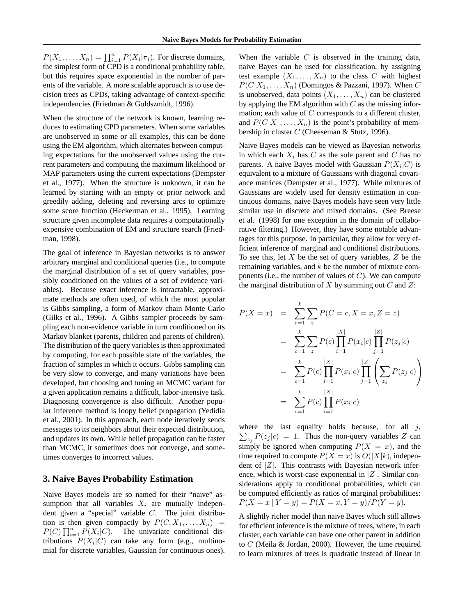$P(X_1, \ldots, X_n) = \prod_{i=1}^n P(X_i | \pi_i)$ . For discrete domains, the simplest form of CPD is a conditional probability table, but this requires space exponential in the number of parents of the variable. A more scalable approach is to use decision trees as CPDs, taking advantage of context-specific independencies (Friedman & Goldszmidt, 1996).

When the structure of the network is known, learning reduces to estimating CPD parameters. When some variables are unobserved in some or all examples, this can be done using the EM algorithm, which alternates between computing expectations for the unobserved values using the current parameters and computing the maximum likelihood or MAP parameters using the current expectations (Dempster et al., 1977). When the structure is unknown, it can be learned by starting with an empty or prior network and greedily adding, deleting and reversing arcs to optimize some score function (Heckerman et al., 1995). Learning structure given incomplete data requires a computationally expensive combination of EM and structure search (Friedman, 1998).

The goal of inference in Bayesian networks is to answer arbitrary marginal and conditional queries (i.e., to compute the marginal distribution of a set of query variables, possibly conditioned on the values of a set of evidence variables). Because exact inference is intractable, approximate methods are often used, of which the most popular is Gibbs sampling, a form of Markov chain Monte Carlo (Gilks et al., 1996). A Gibbs sampler proceeds by sampling each non-evidence variable in turn conditioned on its Markov blanket (parents, children and parents of children). The distribution of the query variables is then approximated by computing, for each possible state of the variables, the fraction of samples in which it occurs. Gibbs sampling can be very slow to converge, and many variations have been developed, but choosing and tuning an MCMC variant for a given application remains a difficult, labor-intensive task. Diagnosing convergence is also difficult. Another popular inference method is loopy belief propagation (Yedidia et al., 2001). In this approach, each node iteratively sends messages to its neighbors about their expected distribution, and updates its own. While belief propagation can be faster than MCMC, it sometimes does not converge, and sometimes converges to incorrect values.

# **3. Naive Bayes Probability Estimation**

Naive Bayes models are so named for their "naive" assumption that all variables  $X_i$  are mutually independent given a "special" variable C. The joint distribution is then given compactly by  $P(C, X_1, \ldots, X_n)$  =  $P(C) \prod_{i=1}^{n} P(X_i | C)$ . The univariate conditional distributions  $P(X_i|C)$  can take any form (e.g., multinomial for discrete variables, Gaussian for continuous ones).

When the variable  $C$  is observed in the training data, naive Bayes can be used for classification, by assigning test example  $(X_1, \ldots, X_n)$  to the class C with highest  $P(C|X_1, \ldots, X_n)$  (Domingos & Pazzani, 1997). When C is unobserved, data points  $(X_1, \ldots, X_n)$  can be clustered by applying the EM algorithm with  $C$  as the missing information; each value of C corresponds to a different cluster, and  $P(C|X_1, \ldots, X_n)$  is the point's probability of membership in cluster C (Cheeseman & Stutz, 1996).

Naive Bayes models can be viewed as Bayesian networks in which each  $X_i$  has C as the sole parent and C has no parents. A naive Bayes model with Gaussian  $P(X_i|C)$  is equivalent to a mixture of Gaussians with diagonal covariance matrices (Dempster et al., 1977). While mixtures of Gaussians are widely used for density estimation in continuous domains, naive Bayes models have seen very little similar use in discrete and mixed domains. (See Breese et al. (1998) for one exception in the domain of collaborative filtering.) However, they have some notable advantages for this purpose. In particular, they allow for very efficient inference of marginal and conditional distributions. To see this, let  $X$  be the set of query variables,  $Z$  be the remaining variables, and  $k$  be the number of mixture components (i.e., the number of values of  $C$ ). We can compute the marginal distribution of  $X$  by summing out  $C$  and  $Z$ :

$$
P(X = x) = \sum_{c=1}^{k} \sum_{z} P(C = c, X = x, Z = z)
$$
  
= 
$$
\sum_{c=1}^{k} \sum_{z} P(c) \prod_{i=1}^{|X|} P(x_i|c) \prod_{j=1}^{|Z|} P(z_j|c)
$$
  
= 
$$
\sum_{c=1}^{k} P(c) \prod_{i=1}^{|X|} P(x_i|c) \prod_{j=1}^{|Z|} \left( \sum_{z_j} P(z_j|c) \right)
$$
  
= 
$$
\sum_{c=1}^{k} P(c) \prod_{i=1}^{|X|} P(x_i|c)
$$

where the last equality holds because, for all  $j$ ,  $\sum_{z_j} P(z_j | c) = 1$ . Thus the non-query variables Z can simply be ignored when computing  $P(X = x)$ , and the time required to compute  $P(X = x)$  is  $O(|X|k)$ , independent of  $|Z|$ . This contrasts with Bayesian network inference, which is worst-case exponential in  $|Z|$ . Similar considerations apply to conditional probabilities, which can be computed efficiently as ratios of marginal probabilities:  $P(X = x | Y = y) = P(X = x, Y = y) / P(Y = y).$ 

A slightly richer model than naive Bayes which still allows for efficient inference is the mixture of trees, where, in each cluster, each variable can have one other parent in addition to C (Meila & Jordan, 2000). However, the time required to learn mixtures of trees is quadratic instead of linear in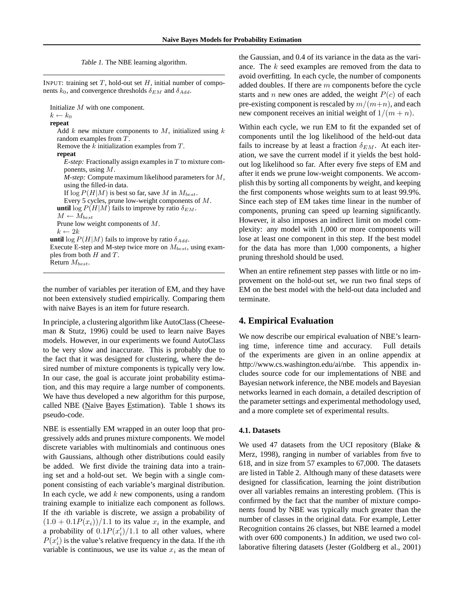Table 1. The NBE learning algorithm.

INPUT: training set  $T$ , hold-out set  $H$ , initial number of components  $k_0$ , and convergence thresholds  $\delta_{EM}$  and  $\delta_{Add}$ .

Initialize M with one component.  $k \leftarrow k_0$ 

#### **repeat** Add k new mixture components to M, initialized using  $k$ random examples from T. Remove the k initialization examples from T. **repeat** *E-step:* Fractionally assign examples in  $T$  to mixture components, using M. *M-step:* Compute maximum likelihood parameters for M, using the filled-in data. If  $\log P(H|M)$  is best so far, save M in  $M_{best}$ . Every 5 cycles, prune low-weight components of M. **until** log  $P(H|M)$  fails to improve by ratio  $\delta_{EM}$ .  $M \leftarrow M_{best}$ Prune low weight components of M.  $k \leftarrow 2k$ **until** log  $P(H|M)$  fails to improve by ratio  $\delta_{Add}$ . Execute E-step and M-step twice more on  $M_{best}$ , using examples from both  $H$  and  $T$ . Return  $M_{best}$ .

the number of variables per iteration of EM, and they have not been extensively studied empirically. Comparing them with naive Bayes is an item for future research.

In principle, a clustering algorithm like AutoClass (Cheeseman & Stutz, 1996) could be used to learn naive Bayes models. However, in our experiments we found AutoClass to be very slow and inaccurate. This is probably due to the fact that it was designed for clustering, where the desired number of mixture components is typically very low. In our case, the goal is accurate joint probability estimation, and this may require a large number of components. We have thus developed a new algorithm for this purpose, called NBE (Naive Bayes Estimation). Table 1 shows its pseudo-code.

NBE is essentially EM wrapped in an outer loop that progressively adds and prunes mixture components. We model discrete variables with multinomials and continuous ones with Gaussians, although other distributions could easily be added. We first divide the training data into a training set and a hold-out set. We begin with a single component consisting of each variable's marginal distribution. In each cycle, we add  $k$  new components, using a random training example to initialize each component as follows. If the ith variable is discrete, we assign a probability of  $(1.0 + 0.1P(x_i))/1.1$  to its value  $x_i$  in the example, and a probability of  $0.1P(x_i')/1.1$  to all other values, where  $P(x'_i)$  is the value's relative frequency in the data. If the *i*th variable is continuous, we use its value  $x_i$  as the mean of

the Gaussian, and 0.4 of its variance in the data as the variance. The k seed examples are removed from the data to avoid overfitting. In each cycle, the number of components added doubles. If there are  $m$  components before the cycle starts and n new ones are added, the weight  $P(c)$  of each pre-existing component is rescaled by  $m/(m+n)$ , and each new component receives an initial weight of  $1/(m + n)$ .

Within each cycle, we run EM to fit the expanded set of components until the log likelihood of the held-out data fails to increase by at least a fraction  $\delta_{EM}$ . At each iteration, we save the current model if it yields the best holdout log likelihood so far. After every five steps of EM and after it ends we prune low-weight components. We accomplish this by sorting all components by weight, and keeping the first components whose weights sum to at least 99.9%. Since each step of EM takes time linear in the number of components, pruning can speed up learning significantly. However, it also imposes an indirect limit on model complexity: any model with 1,000 or more components will lose at least one component in this step. If the best model for the data has more than 1,000 components, a higher pruning threshold should be used.

When an entire refinement step passes with little or no improvement on the hold-out set, we run two final steps of EM on the best model with the held-out data included and terminate.

# **4. Empirical Evaluation**

We now describe our empirical evaluation of NBE's learning time, inference time and accuracy. Full details of the experiments are given in an online appendix at http://www.cs.washington.edu/ai/nbe. This appendix includes source code for our implementations of NBE and Bayesian network inference, the NBE models and Bayesian networks learned in each domain, a detailed description of the parameter settings and experimental methodology used, and a more complete set of experimental results.

#### **4.1. Datasets**

We used 47 datasets from the UCI repository (Blake & Merz, 1998), ranging in number of variables from five to 618, and in size from 57 examples to 67,000. The datasets are listed in Table 2. Although many of these datasets were designed for classification, learning the joint distribution over all variables remains an interesting problem. (This is confirmed by the fact that the number of mixture components found by NBE was typically much greater than the number of classes in the original data. For example, Letter Recognition contains 26 classes, but NBE learned a model with over 600 components.) In addition, we used two collaborative filtering datasets (Jester (Goldberg et al., 2001)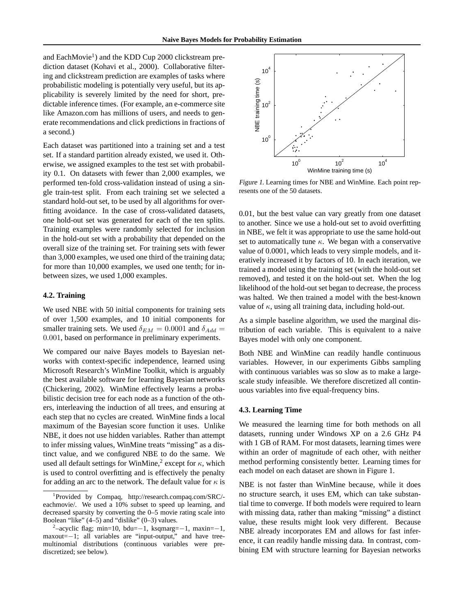and EachMovie<sup>1</sup>) and the KDD Cup 2000 clickstream prediction dataset (Kohavi et al., 2000). Collaborative filtering and clickstream prediction are examples of tasks where probabilistic modeling is potentially very useful, but its applicability is severely limited by the need for short, predictable inference times. (For example, an e-commerce site like Amazon.com has millions of users, and needs to generate recommendations and click predictions in fractions of a second.)

Each dataset was partitioned into a training set and a test set. If a standard partition already existed, we used it. Otherwise, we assigned examples to the test set with probability 0.1. On datasets with fewer than 2,000 examples, we performed ten-fold cross-validation instead of using a single train-test split. From each training set we selected a standard hold-out set, to be used by all algorithms for overfitting avoidance. In the case of cross-validated datasets, one hold-out set was generated for each of the ten splits. Training examples were randomly selected for inclusion in the hold-out set with a probability that depended on the overall size of the training set. For training sets with fewer than 3,000 examples, we used one third of the training data; for more than 10,000 examples, we used one tenth; for inbetween sizes, we used 1,000 examples.

# **4.2. Training**

We used NBE with 50 initial components for training sets of over 1,500 examples, and 10 initial components for smaller training sets. We used  $\delta_{EM} = 0.0001$  and  $\delta_{Add} =$ 0.001, based on performance in preliminary experiments.

We compared our naive Bayes models to Bayesian networks with context-specific independence, learned using Microsoft Research's WinMine Toolkit, which is arguably the best available software for learning Bayesian networks (Chickering, 2002). WinMine effectively learns a probabilistic decision tree for each node as a function of the others, interleaving the induction of all trees, and ensuring at each step that no cycles are created. WinMine finds a local maximum of the Bayesian score function it uses. Unlike NBE, it does not use hidden variables. Rather than attempt to infer missing values, WinMine treats "missing" as a distinct value, and we configured NBE to do the same. We used all default settings for WinMine,<sup>2</sup> except for  $\kappa$ , which is used to control overfitting and is effectively the penalty for adding an arc to the network. The default value for  $\kappa$  is



Figure 1. Learning times for NBE and WinMine. Each point represents one of the 50 datasets.

0.01, but the best value can vary greatly from one dataset to another. Since we use a hold-out set to avoid overfitting in NBE, we felt it was appropriate to use the same hold-out set to automatically tune  $\kappa$ . We began with a conservative value of 0.0001, which leads to very simple models, and iteratively increased it by factors of 10. In each iteration, we trained a model using the training set (with the hold-out set removed), and tested it on the hold-out set. When the log likelihood of the hold-out set began to decrease, the process was halted. We then trained a model with the best-known value of  $\kappa$ , using all training data, including hold-out.

As a simple baseline algorithm, we used the marginal distribution of each variable. This is equivalent to a naive Bayes model with only one component.

Both NBE and WinMine can readily handle continuous variables. However, in our experiments Gibbs sampling with continuous variables was so slow as to make a largescale study infeasible. We therefore discretized all continuous variables into five equal-frequency bins.

#### **4.3. Learning Time**

We measured the learning time for both methods on all datasets, running under Windows XP on a 2.6 GHz P4 with 1 GB of RAM. For most datasets, learning times were within an order of magnitude of each other, with neither method performing consistently better. Learning times for each model on each dataset are shown in Figure 1.

NBE is not faster than WinMine because, while it does no structure search, it uses EM, which can take substantial time to converge. If both models were required to learn with missing data, rather than making "missing" a distinct value, these results might look very different. Because NBE already incorporates EM and allows for fast inference, it can readily handle missing data. In contrast, combining EM with structure learning for Bayesian networks

<sup>1</sup> Provided by Compaq, http://research.compaq.com/SRC/ eachmovie/. We used a 10% subset to speed up learning, and decreased sparsity by converting the 0–5 movie rating scale into Boolean "like" (4–5) and "dislike" (0–3) values.

 $2$ -acyclic flag; min=10, bdu=−1, ksqmarg=−1, maxin=−1, maxout=−1; all variables are "input-output," and have treemultinomial distributions (continuous variables were prediscretized; see below).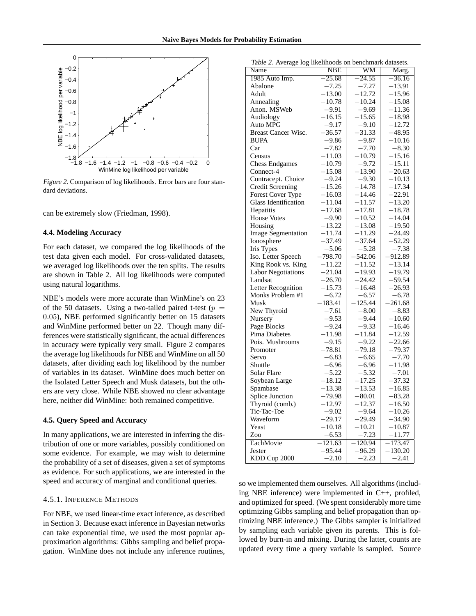

Figure 2. Comparison of log likelihoods. Error bars are four standard deviations.

can be extremely slow (Friedman, 1998).

### **4.4. Modeling Accuracy**

For each dataset, we compared the log likelihoods of the test data given each model. For cross-validated datasets, we averaged log likelihoods over the ten splits. The results are shown in Table 2. All log likelihoods were computed using natural logarithms.

NBE's models were more accurate than WinMine's on 23 of the 50 datasets. Using a two-tailed paired t-test ( $p =$ 0.05), NBE performed significantly better on 15 datasets and WinMine performed better on 22. Though many differences were statistically significant, the actual differences in accuracy were typically very small. Figure 2 compares the average log likelihoods for NBE and WinMine on all 50 datasets, after dividing each log likelihood by the number of variables in its dataset. WinMine does much better on the Isolated Letter Speech and Musk datasets, but the others are very close. While NBE showed no clear advantage here, neither did WinMine: both remained competitive.

### **4.5. Query Speed and Accuracy**

In many applications, we are interested in inferring the distribution of one or more variables, possibly conditioned on some evidence. For example, we may wish to determine the probability of a set of diseases, given a set of symptoms as evidence. For such applications, we are interested in the speed and accuracy of marginal and conditional queries.

# 4.5.1. INFERENCE METHODS

For NBE, we used linear-time exact inference, as described in Section 3. Because exact inference in Bayesian networks can take exponential time, we used the most popular approximation algorithms: Gibbs sampling and belief propagation. WinMine does not include any inference routines,

| Name                        | <b>NBE</b> | $_{\rm WM}$ | Marg.     |
|-----------------------------|------------|-------------|-----------|
| 1985 Auto Imp.              | $-25.68$   | $-24.55$    | $-36.16$  |
| Abalone                     | $-7.25$    | $-7.27$     | $-13.91$  |
| Adult                       | $-13.00$   | $-12.72$    | $-15.96$  |
| Annealing                   | $-10.78$   | $-10.24$    | $-15.08$  |
| Anon. MSWeb                 | $-9.91$    | $-9.69$     | $-11.36$  |
| Audiology                   | $-16.15$   | $-15.65$    | $-18.98$  |
| Auto MPG                    | $-9.17$    | $-9.10$     | $-12.72$  |
| <b>Breast Cancer Wisc.</b>  | $-36.57$   | $-31.33$    | $-48.95$  |
| <b>BUPA</b>                 | $-9.86$    | $-9.87$     | $-10.16$  |
| Car                         | $-7.82$    | $-7.70$     | $-8.30$   |
| Census                      | -11.03     | $-10.79$    | -15.16    |
| <b>Chess Endgames</b>       | $-10.79$   | $-9.72$     | $-15.11$  |
| Connect-4                   | $-15.08$   | $-13.90$    | $-20.63$  |
| Contracept. Choice          | $-9.24$    | $-9.30$     | $-10.13$  |
| Credit Screening            | -15.26     | $-14.78$    | $-17.34$  |
| Forest Cover Type           | $-16.03$   | $-14.46$    | $-22.91$  |
| <b>Glass Identification</b> | $-11.04$   | $-11.57$    | $-13.20$  |
| Hepatitis                   | $-17.68$   | $-17.81$    | $-18.78$  |
| <b>House Votes</b>          | $-9.90$    | $-10.52$    | $-14.04$  |
| Housing                     | $-13.22$   | $-13.08$    | $-19.50$  |
| <b>Image Segmentation</b>   | $-11.74$   | $-11.29$    | -24.49    |
| Ionosphere                  | $-37.49$   | $-37.64$    | $-52.29$  |
| Iris Types                  | $-5.06$    | $-5.28$     | $-7.38$   |
| Iso. Letter Speech          | –798.70    | $-542.06$   | $-912.89$ |
| King Rook vs. King          | $-11.22$   | $-11.52$    | $-13.14$  |
| <b>Labor Negotiations</b>   | $-21.04$   | $-19.93$    | $-19.79$  |
| Landsat                     | $-26.70$   | $-24.42$    | $-59.54$  |
| Letter Recognition          | $-15.73$   | $-16.48$    | –26.93    |
| Monks Problem #1            | $-6.72$    | $-6.57$     | $-6.78$   |
| Musk                        | $-183.41$  | $-125.44$   | $-261.68$ |
| New Thyroid                 | $-7.61$    | $-8.00$     | $-8.83$   |
| Nursery                     | $-9.53$    | -9.44       | $-10.60$  |
| Page Blocks                 | $-9.24$    | $-9.33$     | $-16.46$  |
| Pima Diabetes               | –11.98     | $-11.84$    | $-12.59$  |
| Pois. Mushrooms             | $-9.15$    | $-9.22$     | $-22.66$  |
| Promoter                    | $-78.81$   | $-79.18$    | –79.37    |
| Servo                       | $-6.83$    | $-6.65$     | $-7.70$   |
| Shuttle                     | $-6.96$    | $-6.96$     | $-11.98$  |
| Solar Flare                 | $-5.22$    | $-5.32$     | $-7.01$   |
| Soybean Large               | $-18.12$   | $-17.25$    | $-37.32$  |
| Spambase                    | $-13.38$   | $-13.53$    | $-16.85$  |
| Splice Junction             | $-79.98$   | $-80.01$    | $-83.28$  |
| Thyroid (comb.)             | $-12.97$   | $-12.37$    | $-16.50$  |
| Tic-Tac-Toe                 | $-9.02$    | $-9.64$     | $-10.26$  |
| Waveform                    | $-29.17$   | $-29.49$    | $-34.90$  |
| Yeast                       | $-10.18$   | $-10.21$    | $-10.87$  |
| Zoo                         | $-6.53$    | $-7.23$     | $-11.77$  |
| EachMovie                   | $-121.63$  | $-120.94$   | $-173.47$ |
| Jester                      | –95.44     | $-96.29$    | $-130.20$ |
| KDD Cup 2000                | $-2.10$    | $-2.23$     | $-2.41$   |

so we implemented them ourselves. All algorithms (including NBE inference) were implemented in C++, profiled, and optimized for speed. (We spent considerably more time optimizing Gibbs sampling and belief propagation than optimizing NBE inference.) The Gibbs sampler is initialized by sampling each variable given its parents. This is followed by burn-in and mixing. During the latter, counts are updated every time a query variable is sampled. Source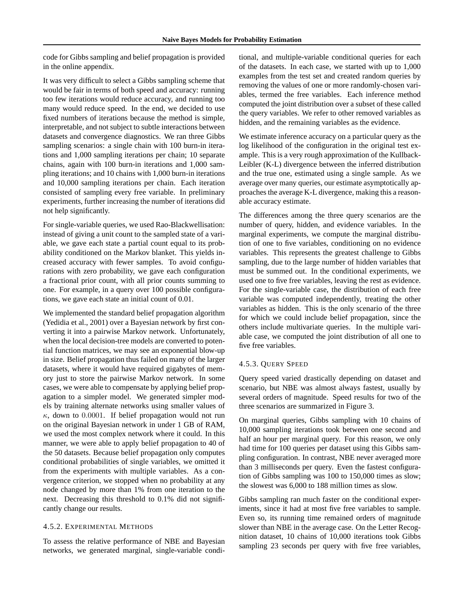code for Gibbs sampling and belief propagation is provided in the online appendix.

It was very difficult to select a Gibbs sampling scheme that would be fair in terms of both speed and accuracy: running too few iterations would reduce accuracy, and running too many would reduce speed. In the end, we decided to use fixed numbers of iterations because the method is simple, interpretable, and not subject to subtle interactions between datasets and convergence diagnostics. We ran three Gibbs sampling scenarios: a single chain with 100 burn-in iterations and 1,000 sampling iterations per chain; 10 separate chains, again with 100 burn-in iterations and 1,000 sampling iterations; and 10 chains with 1,000 burn-in iterations and 10,000 sampling iterations per chain. Each iteration consisted of sampling every free variable. In preliminary experiments, further increasing the number of iterations did not help significantly.

For single-variable queries, we used Rao-Blackwellisation: instead of giving a unit count to the sampled state of a variable, we gave each state a partial count equal to its probability conditioned on the Markov blanket. This yields increased accuracy with fewer samples. To avoid configurations with zero probability, we gave each configuration a fractional prior count, with all prior counts summing to one. For example, in a query over 100 possible configurations, we gave each state an initial count of 0.01.

We implemented the standard belief propagation algorithm (Yedidia et al., 2001) over a Bayesian network by first converting it into a pairwise Markov network. Unfortunately, when the local decision-tree models are converted to potential function matrices, we may see an exponential blow-up in size. Belief propagation thus failed on many of the larger datasets, where it would have required gigabytes of memory just to store the pairwise Markov network. In some cases, we were able to compensate by applying belief propagation to a simpler model. We generated simpler models by training alternate networks using smaller values of  $\kappa$ , down to 0.0001. If belief propagation would not run on the original Bayesian network in under 1 GB of RAM, we used the most complex network where it could. In this manner, we were able to apply belief propagation to 40 of the 50 datasets. Because belief propagation only computes conditional probabilities of single variables, we omitted it from the experiments with multiple variables. As a convergence criterion, we stopped when no probability at any node changed by more than 1% from one iteration to the next. Decreasing this threshold to 0.1% did not significantly change our results.

# 4.5.2. EXPERIMENTAL METHODS

To assess the relative performance of NBE and Bayesian networks, we generated marginal, single-variable conditional, and multiple-variable conditional queries for each of the datasets. In each case, we started with up to 1,000 examples from the test set and created random queries by removing the values of one or more randomly-chosen variables, termed the free variables. Each inference method computed the joint distribution over a subset of these called the query variables. We refer to other removed variables as hidden, and the remaining variables as the evidence.

We estimate inference accuracy on a particular query as the log likelihood of the configuration in the original test example. This is a very rough approximation of the Kullback-Leibler (K-L) divergence between the inferred distribution and the true one, estimated using a single sample. As we average over many queries, our estimate asymptotically approaches the average K-L divergence, making this a reasonable accuracy estimate.

The differences among the three query scenarios are the number of query, hidden, and evidence variables. In the marginal experiments, we compute the marginal distribution of one to five variables, conditioning on no evidence variables. This represents the greatest challenge to Gibbs sampling, due to the large number of hidden variables that must be summed out. In the conditional experiments, we used one to five free variables, leaving the rest as evidence. For the single-variable case, the distribution of each free variable was computed independently, treating the other variables as hidden. This is the only scenario of the three for which we could include belief propagation, since the others include multivariate queries. In the multiple variable case, we computed the joint distribution of all one to five free variables.

# 4.5.3. QUERY SPEED

Query speed varied drastically depending on dataset and scenario, but NBE was almost always fastest, usually by several orders of magnitude. Speed results for two of the three scenarios are summarized in Figure 3.

On marginal queries, Gibbs sampling with 10 chains of 10,000 sampling iterations took between one second and half an hour per marginal query. For this reason, we only had time for 100 queries per dataset using this Gibbs sampling configuration. In contrast, NBE never averaged more than 3 milliseconds per query. Even the fastest configuration of Gibbs sampling was 100 to 150,000 times as slow; the slowest was 6,000 to 188 million times as slow.

Gibbs sampling ran much faster on the conditional experiments, since it had at most five free variables to sample. Even so, its running time remained orders of magnitude slower than NBE in the average case. On the Letter Recognition dataset, 10 chains of 10,000 iterations took Gibbs sampling 23 seconds per query with five free variables,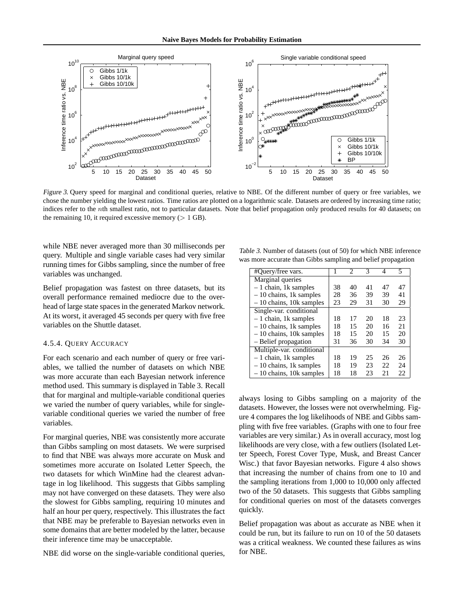

Figure 3. Query speed for marginal and conditional queries, relative to NBE. Of the different number of query or free variables, we chose the number yielding the lowest ratios. Time ratios are plotted on a logarithmic scale. Datasets are ordered by increasing time ratio; indices refer to the nth smallest ratio, not to particular datasets. Note that belief propagation only produced results for 40 datasets; on the remaining 10, it required excessive memory  $($  > 1 GB).

while NBE never averaged more than 30 milliseconds per query. Multiple and single variable cases had very similar running times for Gibbs sampling, since the number of free variables was unchanged.

Belief propagation was fastest on three datasets, but its overall performance remained mediocre due to the overhead of large state spaces in the generated Markov network. At its worst, it averaged 45 seconds per query with five free variables on the Shuttle dataset.

# 4.5.4. QUERY ACCURACY

For each scenario and each number of query or free variables, we tallied the number of datasets on which NBE was more accurate than each Bayesian network inference method used. This summary is displayed in Table 3. Recall that for marginal and multiple-variable conditional queries we varied the number of query variables, while for singlevariable conditional queries we varied the number of free variables.

For marginal queries, NBE was consistently more accurate than Gibbs sampling on most datasets. We were surprised to find that NBE was always more accurate on Musk and sometimes more accurate on Isolated Letter Speech, the two datasets for which WinMine had the clearest advantage in log likelihood. This suggests that Gibbs sampling may not have converged on these datasets. They were also the slowest for Gibbs sampling, requiring 10 minutes and half an hour per query, respectively. This illustrates the fact that NBE may be preferable to Bayesian networks even in some domains that are better modeled by the latter, because their inference time may be unacceptable.

NBE did worse on the single-variable conditional queries,

Table 3. Number of datasets (out of 50) for which NBE inference was more accurate than Gibbs sampling and belief propagation

| #Query/free vars.            |    | 2  | 3  | Δ  | 5  |
|------------------------------|----|----|----|----|----|
| Marginal queries             |    |    |    |    |    |
| $-1$ chain, 1k samples       | 38 | 40 | 41 | 47 | 47 |
| $-10$ chains, 1k samples     | 28 | 36 | 39 | 39 | 41 |
| $-10$ chains, 10 $k$ samples | 23 | 29 | 31 | 30 | 29 |
| Single-var. conditional      |    |    |    |    |    |
| $-1$ chain, 1k samples       | 18 | 17 | 20 | 18 | 23 |
| $-10$ chains, 1k samples     | 18 | 15 | 20 | 16 | 21 |
| $-10$ chains, 10 $k$ samples | 18 | 15 | 20 | 15 | 20 |
| - Belief propagation         | 31 | 36 | 30 | 34 | 30 |
| Multiple-var. conditional    |    |    |    |    |    |
| $-1$ chain, 1k samples       | 18 | 19 | 25 | 26 | 26 |
| $-10$ chains, 1k samples     | 18 | 19 | 23 | 22 | 24 |
| $-10$ chains, 10k samples    | 18 | 18 | 23 | 21 | 22 |

always losing to Gibbs sampling on a majority of the datasets. However, the losses were not overwhelming. Figure 4 compares the log likelihoods of NBE and Gibbs sampling with five free variables. (Graphs with one to four free variables are very similar.) As in overall accuracy, most log likelihoods are very close, with a few outliers (Isolated Letter Speech, Forest Cover Type, Musk, and Breast Cancer Wisc.) that favor Bayesian networks. Figure 4 also shows that increasing the number of chains from one to 10 and the sampling iterations from 1,000 to 10,000 only affected two of the 50 datasets. This suggests that Gibbs sampling for conditional queries on most of the datasets converges quickly.

Belief propagation was about as accurate as NBE when it could be run, but its failure to run on 10 of the 50 datasets was a critical weakness. We counted these failures as wins for NBE.